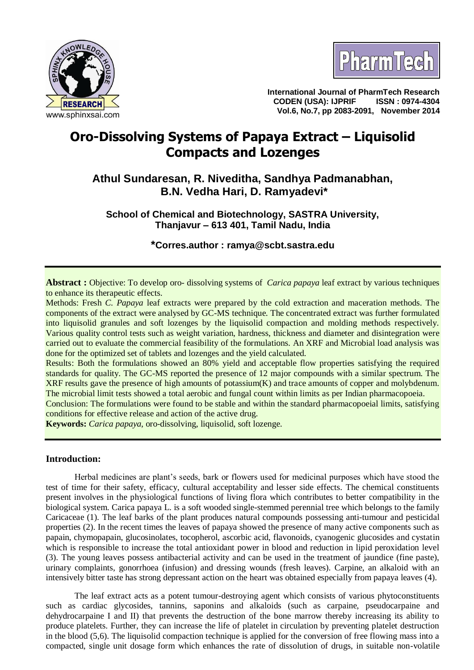



**International Journal of PharmTech Research CODEN (USA): IJPRIF ISSN : 0974-4304 Vol.6, No.7, pp 2083-2091, November 2014**

# **Oro-Dissolving Systems of Papaya Extract – Liquisolid Compacts and Lozenges**

**Athul Sundaresan, R. Niveditha, Sandhya Padmanabhan, B.N. Vedha Hari, D. Ramyadevi\***

**School of Chemical and Biotechnology, SASTRA University, Thanjavur – 613 401, Tamil Nadu, India**

**\*Corres.author : [ramya@scbt.sastra.edu](mailto:ramya@scbt.sastra.edu)**

**Abstract :** Objective: To develop oro- dissolving systems of *Carica papaya* leaf extract by various techniques to enhance its therapeutic effects.

Methods: Fresh *C. Papaya* leaf extracts were prepared by the cold extraction and maceration methods. The components of the extract were analysed by GC-MS technique. The concentrated extract was further formulated into liquisolid granules and soft lozenges by the liquisolid compaction and molding methods respectively. Various quality control tests such as weight variation, hardness, thickness and diameter and disintegration were carried out to evaluate the commercial feasibility of the formulations. An XRF and Microbial load analysis was done for the optimized set of tablets and lozenges and the yield calculated.

Results: Both the formulations showed an 80% yield and acceptable flow properties satisfying the required standards for quality. The GC-MS reported the presence of 12 major compounds with a similar spectrum. The XRF results gave the presence of high amounts of potassium(K) and trace amounts of copper and molybdenum. The microbial limit tests showed a total aerobic and fungal count within limits as per Indian pharmacopoeia.

Conclusion: The formulations were found to be stable and within the standard pharmacopoeial limits, satisfying conditions for effective release and action of the active drug.

**Keywords:** *Carica papaya*, oro-dissolving, liquisolid, soft lozenge.

# **Introduction:**

Herbal medicines are plant's seeds, bark or flowers used for medicinal purposes which have stood the test of time for their safety, efficacy, cultural acceptability and lesser side effects. The chemical constituents present involves in the physiological functions of living flora which contributes to better compatibility in the biological system. Carica papaya L. is a soft wooded single-stemmed perennial tree which belongs to the family Caricaceae (1). The leaf barks of the plant produces natural compounds possessing anti-tumour and pesticidal properties (2). In the recent times the leaves of papaya showed the presence of many active components such as papain, chymopapain, glucosinolates, tocopherol, ascorbic acid, flavonoids, cyanogenic glucosides and cystatin which is responsible to increase the total antioxidant power in blood and reduction in lipid peroxidation level (3). The young leaves possess antibacterial activity and can be used in the treatment of jaundice (fine paste), urinary complaints, gonorrhoea (infusion) and dressing wounds (fresh leaves). Carpine, an alkaloid with an intensively bitter taste has strong depressant action on the heart was obtained especially from papaya leaves (4).

The leaf extract acts as a potent tumour-destroying agent which consists of various phytoconstituents such as cardiac glycosides, tannins, saponins and alkaloids (such as carpaine, pseudocarpaine and dehydrocarpaine I and II) that prevents the destruction of the bone marrow thereby increasing its ability to produce platelets. Further, they can increase the life of platelet in circulation by preventing platelet destruction in the blood (5,6). The liquisolid compaction technique is applied for the conversion of free flowing mass into a compacted, single unit dosage form which enhances the rate of dissolution of drugs, in suitable non-volatile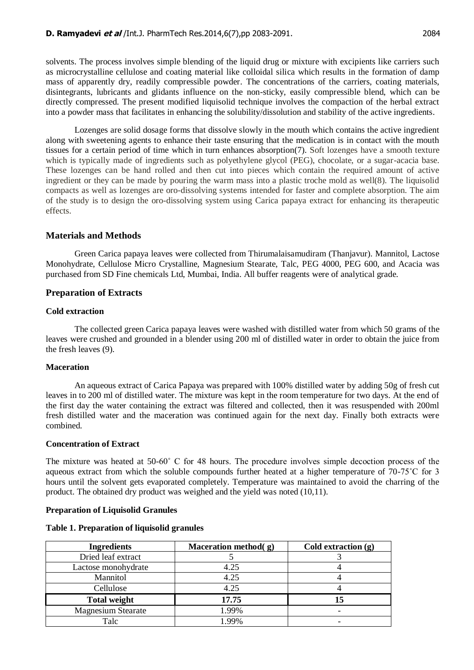solvents. The process involves simple blending of the liquid drug or mixture with excipients like carriers such as microcrystalline cellulose and coating material like colloidal silica which results in the formation of damp mass of apparently dry, readily compressible powder. The concentrations of the carriers, coating materials, disintegrants, lubricants and glidants influence on the non-sticky, easily compressible blend, which can be directly compressed. The present modified liquisolid technique involves the compaction of the herbal extract into a powder mass that facilitates in enhancing the solubility/dissolution and stability of the active ingredients.

Lozenges are solid dosage forms that dissolve slowly in the mouth which contains the active ingredient along with sweetening agents to enhance their taste ensuring that the medication is in contact with the mouth tissues for a certain period of time which in turn enhances absorption(7). Soft lozenges have a smooth texture which is typically made of ingredients such as polyethylene glycol (PEG), chocolate, or a sugar-acacia base. These lozenges can be hand rolled and then cut into pieces which contain the required amount of active ingredient or they can be made by pouring the warm mass into a plastic troche mold as well(8). The liquisolid compacts as well as lozenges are oro-dissolving systems intended for faster and complete absorption. The aim of the study is to design the oro-dissolving system using Carica papaya extract for enhancing its therapeutic effects.

# **Materials and Methods**

Green Carica papaya leaves were collected from Thirumalaisamudiram (Thanjavur). Mannitol, Lactose Monohydrate, Cellulose Micro Crystalline, Magnesium Stearate, Talc, PEG 4000, PEG 600, and Acacia was purchased from SD Fine chemicals Ltd, Mumbai, India. All buffer reagents were of analytical grade.

# **Preparation of Extracts**

# **Cold extraction**

The collected green Carica papaya leaves were washed with distilled water from which 50 grams of the leaves were crushed and grounded in a blender using 200 ml of distilled water in order to obtain the juice from the fresh leaves (9).

# **Maceration**

An aqueous extract of Carica Papaya was prepared with 100% distilled water by adding 50g of fresh cut leaves in to 200 ml of distilled water. The mixture was kept in the room temperature for two days. At the end of the first day the water containing the extract was filtered and collected, then it was resuspended with 200ml fresh distilled water and the maceration was continued again for the next day. Finally both extracts were combined.

#### **Concentration of Extract**

The mixture was heated at 50-60˚ C for 48 hours. The procedure involves simple decoction process of the aqueous extract from which the soluble compounds further heated at a higher temperature of 70-75˚C for 3 hours until the solvent gets evaporated completely. Temperature was maintained to avoid the charring of the product. The obtained dry product was weighed and the yield was noted (10,11).

# **Preparation of Liquisolid Granules**

#### **Table 1. Preparation of liquisolid granules**

| <b>Ingredients</b>        | Maceration method(g) | Cold extraction (g) |
|---------------------------|----------------------|---------------------|
| Dried leaf extract        |                      |                     |
| Lactose monohydrate       | 4.25                 |                     |
| Mannitol                  | 4.25                 |                     |
| Cellulose                 | 4.25                 |                     |
| <b>Total weight</b>       | 17.75                |                     |
| <b>Magnesium Stearate</b> | 1.99%                |                     |
| Talc                      | $99\%$               |                     |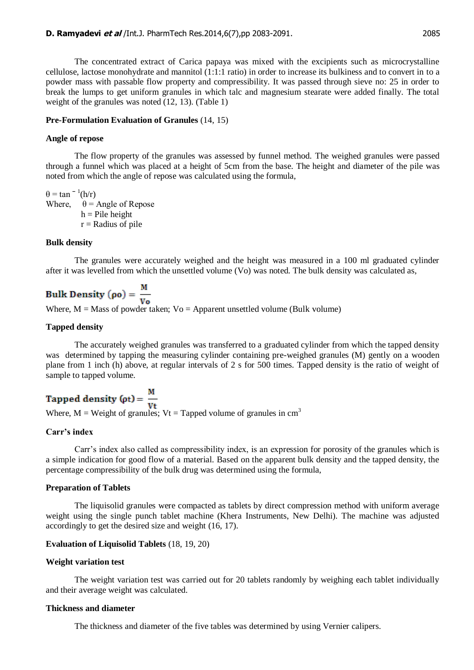The concentrated extract of Carica papaya was mixed with the excipients such as microcrystalline cellulose, lactose monohydrate and mannitol (1:1:1 ratio) in order to increase its bulkiness and to convert in to a powder mass with passable flow property and compressibility. It was passed through sieve no: 25 in order to break the lumps to get uniform granules in which talc and magnesium stearate were added finally. The total weight of the granules was noted (12, 13). (Table 1)

#### **Pre-Formulation Evaluation of Granules** (14, 15)

#### **Angle of repose**

The flow property of the granules was assessed by funnel method. The weighed granules were passed through a funnel which was placed at a height of 5cm from the base. The height and diameter of the pile was noted from which the angle of repose was calculated using the formula,

 $\theta = \tan^{-1}(h/r)$ Where,  $\theta$  = Angle of Repose  $h =$ Pile height  $r =$ Radius of pile

#### **Bulk density**

The granules were accurately weighed and the height was measured in a 100 ml graduated cylinder after it was levelled from which the unsettled volume (Vo) was noted. The bulk density was calculated as,

**Bulk Density** (
$$
\rho \mathbf{o}
$$
) =  $\frac{M}{V\mathbf{o}}$   
Where, M = Mass of powder taken; Vo = Apparent unsettled volume (Bulk volume)

# **Tapped density**

The accurately weighed granules was transferred to a graduated cylinder from which the tapped density was determined by tapping the measuring cylinder containing pre-weighed granules (M) gently on a wooden plane from 1 inch (h) above, at regular intervals of 2 s for 500 times. Tapped density is the ratio of weight of sample to tapped volume.

**Tapped density (pt) =**  $\frac{M}{Vt}$ <br>Where, M = Weight of granules; Vt = Tapped volume of granules in cm<sup>3</sup>

# **Carr's index**

Carr's index also called as compressibility index, is an expression for porosity of the granules which is a simple indication for good flow of a material. Based on the apparent bulk density and the tapped density, the percentage compressibility of the bulk drug was determined using the formula,

#### **Preparation of Tablets**

The liquisolid granules were compacted as tablets by direct compression method with uniform average weight using the single punch tablet machine (Khera Instruments, New Delhi). The machine was adjusted accordingly to get the desired size and weight (16, 17).

# **Evaluation of Liquisolid Tablets** (18, 19, 20)

#### **Weight variation test**

The weight variation test was carried out for 20 tablets randomly by weighing each tablet individually and their average weight was calculated.

# **Thickness and diameter**

The thickness and diameter of the five tables was determined by using Vernier calipers.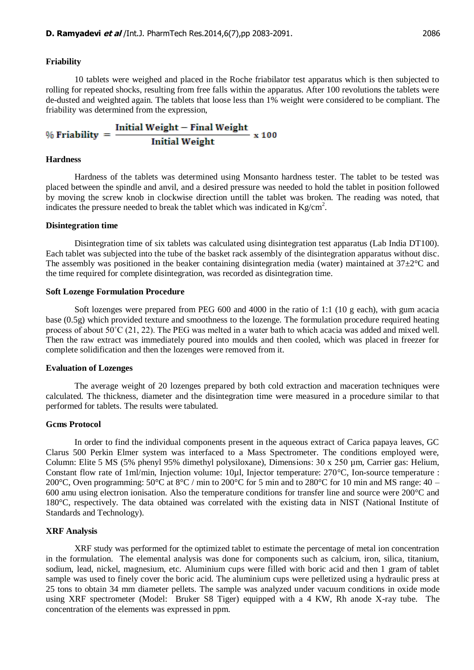#### **Friability**

10 tablets were weighed and placed in the Roche friabilator test apparatus which is then subjected to rolling for repeated shocks, resulting from free falls within the apparatus. After 100 revolutions the tablets were de-dusted and weighted again. The tablets that loose less than 1% weight were considered to be compliant. The friability was determined from the expression,

$$
\% Friability = \frac{Initial Weight - Final Weight}{Initial Weight} \times 100
$$

#### **Hardness**

Hardness of the tablets was determined using Monsanto hardness tester. The tablet to be tested was placed between the spindle and anvil, and a desired pressure was needed to hold the tablet in position followed by moving the screw knob in clockwise direction untill the tablet was broken. The reading was noted, that indicates the pressure needed to break the tablet which was indicated in  $\text{Kg/cm}^2$ .

#### **Disintegration time**

Disintegration time of six tablets was calculated using disintegration test apparatus (Lab India DT100). Each tablet was subjected into the tube of the basket rack assembly of the disintegration apparatus without disc. The assembly was positioned in the beaker containing disintegration media (water) maintained at  $37\pm2\degree$ C and the time required for complete disintegration, was recorded as disintegration time.

#### **Soft Lozenge Formulation Procedure**

Soft lozenges were prepared from PEG 600 and 4000 in the ratio of 1:1 (10 g each), with gum acacia base (0.5g) which provided texture and smoothness to the lozenge. The formulation procedure required heating process of about 50˚C (21, 22). The PEG was melted in a water bath to which acacia was added and mixed well. Then the raw extract was immediately poured into moulds and then cooled, which was placed in freezer for complete solidification and then the lozenges were removed from it.

#### **Evaluation of Lozenges**

The average weight of 20 lozenges prepared by both cold extraction and maceration techniques were calculated. The thickness, diameter and the disintegration time were measured in a procedure similar to that performed for tablets. The results were tabulated.

#### **Gcms Protocol**

In order to find the individual components present in the aqueous extract of Carica papaya leaves, GC Clarus 500 Perkin Elmer system was interfaced to a Mass Spectrometer. The conditions employed were, Column: Elite 5 MS (5% phenyl 95% dimethyl polysiloxane), Dimensions: 30 х 250 µm, Carrier gas: Helium, Constant flow rate of 1ml/min, Injection volume: 10µl, Injector temperature: 270°C, Ion-source temperature : 200 °C, Oven programming: 50 °C at  $8$  °C / min to 200 °C for 5 min and to 280 °C for 10 min and MS range: 40 – 600 amu using electron ionisation. Also the temperature conditions for transfer line and source were 200°C and 180°C, respectively. The data obtained was correlated with the existing data in NIST (National Institute of Standards and Technology).

#### **XRF Analysis**

XRF study was performed for the optimized tablet to estimate the percentage of metal ion concentration in the formulation. The elemental analysis was done for components such as calcium, iron, silica, titanium, sodium, lead, nickel, magnesium, etc. Aluminium cups were filled with boric acid and then 1 gram of tablet sample was used to finely cover the boric acid. The aluminium cups were pelletized using a hydraulic press at 25 tons to obtain 34 mm diameter pellets. The sample was analyzed under vacuum conditions in oxide mode using XRF spectrometer (Model: Bruker S8 Tiger) equipped with a 4 KW, Rh anode X-ray tube. The concentration of the elements was expressed in ppm.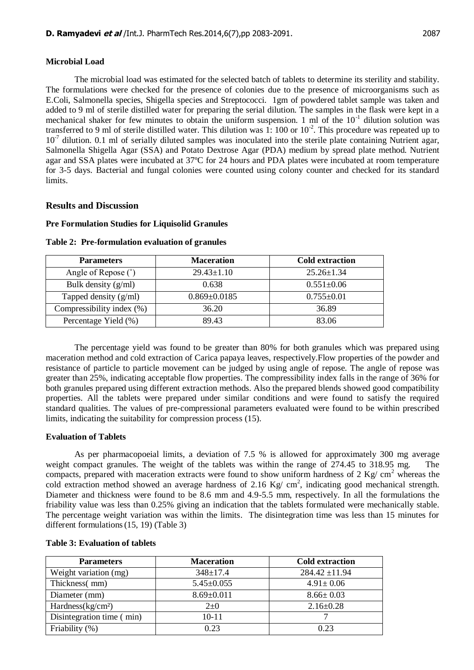#### **Microbial Load**

The microbial load was estimated for the selected batch of tablets to determine its sterility and stability. The formulations were checked for the presence of colonies due to the presence of microorganisms such as E.Coli, Salmonella species, Shigella species and Streptococci. 1gm of powdered tablet sample was taken and added to 9 ml of sterile distilled water for preparing the serial dilution. The samples in the flask were kept in a mechanical shaker for few minutes to obtain the uniform suspension. 1 ml of the  $10^{-1}$  dilution solution was transferred to 9 ml of sterile distilled water. This dilution was 1: 100 or  $10^{-2}$ . This procedure was repeated up to 10<sup>-7</sup> dilution. 0.1 ml of serially diluted samples was inoculated into the sterile plate containing Nutrient agar, Salmonella Shigella Agar (SSA) and Potato Dextrose Agar (PDA) medium by spread plate method. Nutrient agar and SSA plates were incubated at 37ºC for 24 hours and PDA plates were incubated at room temperature for 3-5 days. Bacterial and fungal colonies were counted using colony counter and checked for its standard limits.

# **Results and Discussion**

#### **Pre Formulation Studies for Liquisolid Granules**

| <b>Parameters</b>         | <b>Maceration</b>  | <b>Cold extraction</b> |
|---------------------------|--------------------|------------------------|
| Angle of Repose (°)       | $29.43 \pm 1.10$   | $25.26 \pm 1.34$       |
| Bulk density $(g/ml)$     | 0.638              | $0.551 \pm 0.06$       |
| Tapped density $(g/ml)$   | $0.869 \pm 0.0185$ | $0.755 \pm 0.01$       |
| Compressibility index (%) | 36.20              | 36.89                  |
| Percentage Yield (%)      | 89.43              | 83.06                  |

**Table 2: Pre-formulation evaluation of granules**

The percentage yield was found to be greater than 80% for both granules which was prepared using maceration method and cold extraction of Carica papaya leaves, respectively.Flow properties of the powder and resistance of particle to particle movement can be judged by using angle of repose. The angle of repose was greater than 25%, indicating acceptable flow properties. The compressibility index falls in the range of 36% for both granules prepared using different extraction methods. Also the prepared blends showed good compatibility properties. All the tablets were prepared under similar conditions and were found to satisfy the required standard qualities. The values of pre‐compressional parameters evaluated were found to be within prescribed limits, indicating the suitability for compression process (15).

#### **Evaluation of Tablets**

As per pharmacopoeial limits, a deviation of 7.5 % is allowed for approximately 300 mg average weight compact granules. The weight of the tablets was within the range of 274.45 to 318.95 mg. The compacts, prepared with maceration extracts were found to show uniform hardness of 2 Kg/  $\text{cm}^2$  whereas the cold extraction method showed an average hardness of 2.16 Kg/  $cm<sup>2</sup>$ , indicating good mechanical strength. Diameter and thickness were found to be 8.6 mm and 4.9-5.5 mm, respectively. In all the formulations the friability value was less than 0.25% giving an indication that the tablets formulated were mechanically stable. The percentage weight variation was within the limits. The disintegration time was less than 15 minutes for different formulations (15, 19) (Table 3)

| <b>Parameters</b>         | <b>Maceration</b> | <b>Cold extraction</b> |
|---------------------------|-------------------|------------------------|
| Weight variation (mg)     | $348 \pm 17.4$    | $284.42 \pm 11.94$     |
| Thickness(mm)             | $5.45 \pm 0.055$  | $4.91 \pm 0.06$        |
| Diameter (mm)             | $8.69 \pm 0.011$  | $8.66 \pm 0.03$        |
| Hardness $(kg/cm2)$       | $2 \pm 0$         | $2.16 \pm 0.28$        |
| Disintegration time (min) | $10 - 11$         |                        |
| Friability (%)            | 0.23              | 0.23                   |

#### **Table 3: Evaluation of tablets**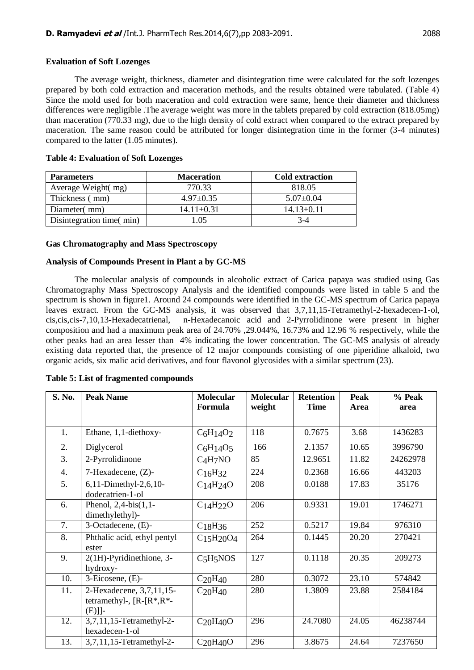The average weight, thickness, diameter and disintegration time were calculated for the soft lozenges prepared by both cold extraction and maceration methods, and the results obtained were tabulated. (Table 4) Since the mold used for both maceration and cold extraction were same, hence their diameter and thickness differences were negligible .The average weight was more in the tablets prepared by cold extraction (818.05mg) than maceration (770.33 mg), due to the high density of cold extract when compared to the extract prepared by maceration. The same reason could be attributed for longer disintegration time in the former (3-4 minutes) compared to the latter (1.05 minutes).

| <b>Parameters</b>        | <b>Maceration</b> | <b>Cold extraction</b> |
|--------------------------|-------------------|------------------------|
| Average Weight(mg)       | 770.33            | 818.05                 |
| Thickness (mm)           | $4.97 \pm 0.35$   | $5.07 \pm 0.04$        |
| Diameter(mm)             | $14.11 \pm 0.31$  | $14.13 \pm 0.11$       |
| Disintegration time(min) | -05               | $3-4$                  |

### **Table 4: Evaluation of Soft Lozenges**

### **Gas Chromatography and Mass Spectroscopy**

# **Analysis of Compounds Present in Plant a by GC-MS**

The molecular analysis of compounds in alcoholic extract of Carica papaya was studied using Gas Chromatography Mass Spectroscopy Analysis and the identified compounds were listed in table 5 and the spectrum is shown in figure1. Around 24 compounds were identified in the GC-MS spectrum of Carica papaya leaves extract. From the GC-MS analysis, it was observed that 3,7,11,15-Tetramethyl-2-hexadecen-1-ol, cis,cis,cis-7,10,13-Hexadecatrienal, n-Hexadecanoic acid and 2-Pyrrolidinone were present in higher composition and had a maximum peak area of 24.70% ,29.044%, 16.73% and 12.96 % respectively, while the other peaks had an area lesser than 4% indicating the lower concentration. The GC-MS analysis of already existing data reported that, the presence of 12 major compounds consisting of one piperidine alkaloid, two organic acids, six malic acid derivatives, and four flavonol glycosides with a similar spectrum (23).

| S. No. | <b>Peak Name</b>                                                       | <b>Molecular</b><br>Formula       | <b>Molecular</b><br>weight | <b>Retention</b><br><b>Time</b> | Peak<br>Area | % Peak<br>area |
|--------|------------------------------------------------------------------------|-----------------------------------|----------------------------|---------------------------------|--------------|----------------|
|        |                                                                        |                                   |                            |                                 |              |                |
| 1.     | Ethane, 1,1-diethoxy-                                                  | $C_6H_14O_2$                      | 118                        | 0.7675                          | 3.68         | 1436283        |
| 2.     | Diglycerol                                                             | $C6H14O5$                         | 166                        | 2.1357                          | 10.65        | 3996790        |
| 3.     | 2-Pyrrolidinone                                                        | $C_4H_7NO$                        | 85                         | 12.9651                         | 11.82        | 24262978       |
| 4.     | 7-Hexadecene, (Z)-                                                     | $C_{16}H_{32}$                    | 224                        | 0.2368                          | 16.66        | 443203         |
| 5.     | 6,11-Dimethyl-2,6,10-<br>dodecatrien-1-ol                              | C <sub>14</sub> H <sub>24</sub> O | 208                        | 0.0188                          | 17.83        | 35176          |
| 6.     | Phenol, $2,4-bis(1,1-$<br>dimethylethyl)-                              | C <sub>14</sub> H <sub>22</sub> O | 206                        | 0.9331                          | 19.01        | 1746271        |
| 7.     | 3-Octadecene, (E)-                                                     | $C_{18}H_{36}$                    | 252                        | 0.5217                          | 19.84        | 976310         |
| 8.     | Phthalic acid, ethyl pentyl<br>ester                                   | $C_{15}H_{20}O_4$                 | 264                        | 0.1445                          | 20.20        | 270421         |
| 9.     | 2(1H)-Pyridinethione, 3-<br>hydroxy-                                   | C <sub>5</sub> H <sub>5</sub> NOS | 127                        | 0.1118                          | 20.35        | 209273         |
| 10.    | 3-Eicosene, (E)-                                                       | $C_{20}H_{40}$                    | 280                        | 0.3072                          | 23.10        | 574842         |
| 11.    | 2-Hexadecene, 3,7,11,15-<br>tetramethyl-, $[R-[R^*,R^*]-$<br>$(E)]$ ]- | $C_{20}H_{40}$                    | 280                        | 1.3809                          | 23.88        | 2584184        |
| 12.    | 3,7,11,15-Tetramethyl-2-<br>hexadecen-1-ol                             | $C_{20}H_{40}O$                   | 296                        | 24.7080                         | 24.05        | 46238744       |
| 13.    | 3,7,11,15-Tetramethyl-2-                                               | $C_{20}H_{40}O$                   | 296                        | 3.8675                          | 24.64        | 7237650        |

#### **Table 5: List of fragmented compounds**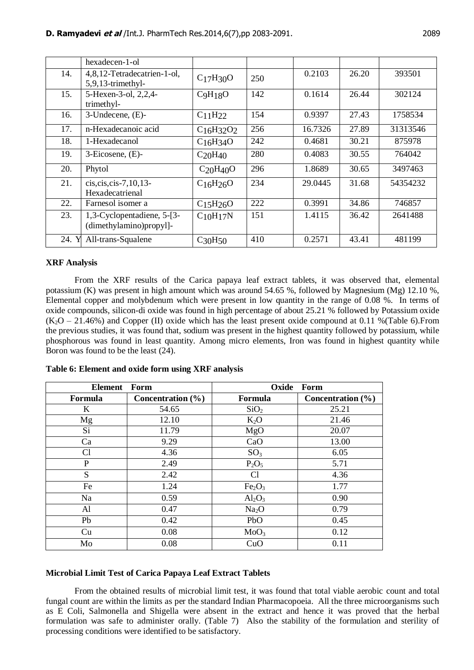|       | hexadecen-1-ol                                        |                                   |     |         |       |          |
|-------|-------------------------------------------------------|-----------------------------------|-----|---------|-------|----------|
| 14.   | 4,8,12-Tetradecatrien-1-ol,<br>5,9,13-trimethyl-      | C <sub>17</sub> H <sub>30</sub> O | 250 | 0.2103  | 26.20 | 393501   |
| 15.   | 5-Hexen-3-ol, 2,2,4-<br>trimethyl-                    | C9H18O                            | 142 | 0.1614  | 26.44 | 302124   |
| 16.   | 3-Undecene, (E)-                                      | C <sub>11</sub> H <sub>22</sub>   | 154 | 0.9397  | 27.43 | 1758534  |
| 17.   | n-Hexadecanoic acid                                   | $C_{16}H_{32}O_2$                 | 256 | 16.7326 | 27.89 | 31313546 |
| 18.   | 1-Hexadecanol                                         | $C_{16}H_{34}O$                   | 242 | 0.4681  | 30.21 | 875978   |
| 19.   | $3$ -Eicosene, $(E)$ -                                | $C_{20}H_{40}$                    | 280 | 0.4083  | 30.55 | 764042   |
| 20.   | Phytol                                                | $C_{20}H_{40}O$                   | 296 | 1.8689  | 30.65 | 3497463  |
| 21.   | cis, cis, cis-7, 10, 13-<br>Hexadecatrienal           | $C_{16}H_{26}O$                   | 234 | 29.0445 | 31.68 | 54354232 |
| 22.   | Farnesol isomer a                                     | C <sub>15</sub> H <sub>26</sub> O | 222 | 0.3991  | 34.86 | 746857   |
| 23.   | 1,3-Cyclopentadiene, 5-[3-<br>(dimethylamino)propyl]- | $C_{10}H_{17}N$                   | 151 | 1.4115  | 36.42 | 2641488  |
| 24. Y | All-trans-Squalene                                    | $C_{30}H_{50}$                    | 410 | 0.2571  | 43.41 | 481199   |

# **XRF Analysis**

From the XRF results of the Carica papaya leaf extract tablets, it was observed that, elemental potassium (K) was present in high amount which was around 54.65 %, followed by Magnesium (Mg) 12.10 %, Elemental copper and molybdenum which were present in low quantity in the range of 0.08 %. In terms of oxide compounds, silicon-di oxide was found in high percentage of about 25.21 % followed by Potassium oxide  $(K_2O - 21.46%)$  and Copper (II) oxide which has the least present oxide compound at 0.11 % (Table 6). From the previous studies, it was found that, sodium was present in the highest quantity followed by potassium, while phosphorous was found in least quantity. Among micro elements, Iron was found in highest quantity while Boron was found to be the least (24).

| <b>Element</b> | Form                  | Oxide                          | Form                  |
|----------------|-----------------------|--------------------------------|-----------------------|
| <b>Formula</b> | Concentration $(\% )$ | Formula                        | Concentration $(\% )$ |
| K              | 54.65                 | SiO <sub>2</sub>               | 25.21                 |
| Mg             | 12.10                 | $K_2O$                         | 21.46                 |
| Si             | 11.79                 | MgO                            | 20.07                 |
| Ca             | 9.29                  | CaO                            | 13.00                 |
| Cl             | 4.36                  | SO <sub>3</sub>                | 6.05                  |
| P              | 2.49                  | $P_2O_5$                       | 5.71                  |
| S              | 2.42                  | C <sub>1</sub>                 | 4.36                  |
| Fe             | 1.24                  | Fe <sub>2</sub> O <sub>3</sub> | 1.77                  |
| Na             | 0.59                  | $Al_2O_3$                      | 0.90                  |
| Al             | 0.47                  | Na <sub>2</sub> O              | 0.79                  |
| Pb             | 0.42                  | PbO                            | 0.45                  |
| Cu             | 0.08                  | MoO <sub>3</sub>               | 0.12                  |
| Mo             | 0.08                  | CuO                            | 0.11                  |

**Table 6: Element and oxide form using XRF analysis**

#### **Microbial Limit Test of Carica Papaya Leaf Extract Tablets**

From the obtained results of microbial limit test, it was found that total viable aerobic count and total fungal count are within the limits as per the standard Indian Pharmacopoeia. All the three microorganisms such as E Coli, Salmonella and Shigella were absent in the extract and hence it was proved that the herbal formulation was safe to administer orally. (Table 7) Also the stability of the formulation and sterility of processing conditions were identified to be satisfactory.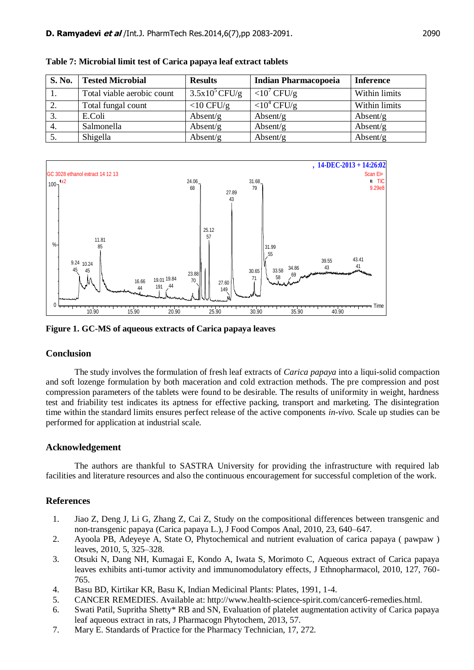| <b>S. No.</b> | <b>Tested Microbial</b>    | <b>Results</b>   | <b>Indian Pharmacopoeia</b> | <b>Inference</b> |
|---------------|----------------------------|------------------|-----------------------------|------------------|
|               | Total viable aerobic count | $3.5x10^5$ CFU/g | $<$ 10' CFU/g               | Within limits    |
|               | Total fungal count         | $<$ 10 CFU/g     | $<$ 10 <sup>4</sup> CFU/g   | Within limits    |
|               | E.Coli                     | Absent/g         | Absent/g                    | Absent/g         |
| 4.            | Salmonella                 | Absent/g         | Absent/g                    | Absent/g         |
|               | Shigella                   | Absent/g         | Absent/g                    | Absent/g         |

**Table 7: Microbial limit test of Carica papaya leaf extract tablets**



**Figure 1. GC-MS of aqueous extracts of Carica papaya leaves**

# **Conclusion**

The study involves the formulation of fresh leaf extracts of *Carica papaya* into a liqui-solid compaction and soft lozenge formulation by both maceration and cold extraction methods. The pre compression and post compression parameters of the tablets were found to be desirable. The results of uniformity in weight, hardness test and friability test indicates its aptness for effective packing, transport and marketing. The disintegration time within the standard limits ensures perfect release of the active components *in-vivo.* Scale up studies can be performed for application at industrial scale.

# **Acknowledgement**

The authors are thankful to SASTRA University for providing the infrastructure with required lab facilities and literature resources and also the continuous encouragement for successful completion of the work.

# **References**

- 1. Jiao Z, Deng J, Li G, Zhang Z, Cai Z, Study on the compositional differences between transgenic and non-transgenic papaya (Carica papaya L.), J Food Compos Anal, 2010, 23, 640–647.
- 2. Ayoola PB, Adeyeye A, State O, Phytochemical and nutrient evaluation of carica papaya ( pawpaw ) leaves, 2010, 5, 325–328.
- 3. Otsuki N, Dang NH, Kumagai E, Kondo A, Iwata S, Morimoto C, Aqueous extract of Carica papaya leaves exhibits anti-tumor activity and immunomodulatory effects, J Ethnopharmacol, 2010, 127, 760- 765.
- 4. Basu BD, Kirtikar KR, Basu K, Indian Medicinal Plants: Plates, 1991, 1-4.
- 5. CANCER REMEDIES. Available at: http://www.health-science-spirit.com/cancer6-remedies.html.
- 6. Swati Patil, Supritha Shetty\* RB and SN, Evaluation of platelet augmentation activity of Carica papaya leaf aqueous extract in rats, J Pharmacogn Phytochem, 2013, 57.
- 7. Mary E. Standards of Practice for the Pharmacy Technician, 17, 272.